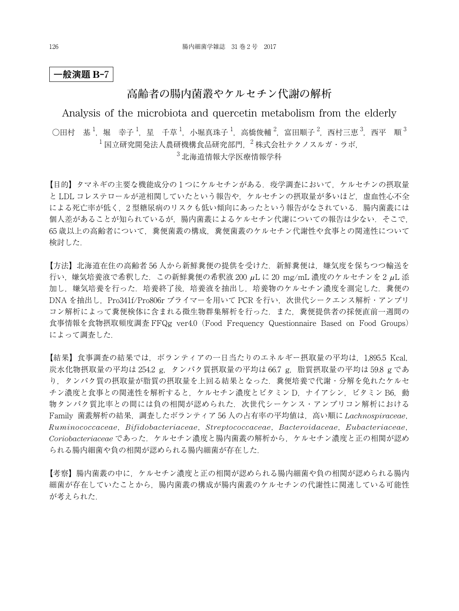## **高齢者の腸内菌叢やケルセチン代謝の解析**

### Analysis of the microbiota and quercetin metabolism from the elderly

○田村 基  $^1$ ,堀 幸子  $^1$ ,星 千草  $^1$ ,小堀真珠子  $^1$ ,高橋俊輔  $^2$ ,富田順子  $^2$ ,西村三恵  $^3$ ,西平 順  $^3$  $^{-1}$ 国立研究開発法人農研機構食品研究部門,  $^{-2}$ 株式会社テクノスルガ・ラボ, <sup>3</sup> 北海道情報大学医療情報学科

【目的】タマネギの主要な機能成分の1つにケルセチンがある. 疫学調査において、ケルセチンの摂取量 と LDL コレステロールが逆相関していたという報告や,ケルセチンの摂取量が多いほど,虚血性心不全 による死亡率が低く、2型糖尿病のリスクも低い傾向にあったという報告がなされている. 腸内菌叢には 個人差があることが知られているが、腸内菌叢によるケルセチン代謝についての報告は少ない. そこで, 65 歳以上の高齢者について,糞便菌叢の構成,糞便菌叢のケルセチン代謝性や食事との関連性について 検討した.

【方法】北海道在住の高齢者 56 人から新鮮糞便の提供を受けた.新鮮糞便は,嫌気度を保ちつつ輸送を 行い, 嫌気培養液で希釈した. この新鮮糞便の希釈液 200  $\mu$ L に 20 mg/mL 濃度のケルセチンを 2  $\mu$ L 添 加し,嫌気培養を行った.培養終了後,培養液を抽出し,培養物のケルセチン濃度を測定した.糞便の DNA を抽出し,Pro341f/Pro806r プライマーを用いて PCR を行い,次世代シークエンス解析・アンプリ コン解析によって糞便検体に含まれる微生物群集解析を行った.また,糞便提供者の採便直前一週間の 食事情報を食物摂取頻度調査 FFQg ver4.0(Food Frequency Questionnaire Based on Food Groups) によって調査した.

【結果】食事調査の結果では,ボランティアの一日当たりのエネルギー摂取量の平均は,1,895.5 Kcal, 炭水化物摂取量の平均は 254.2 g, タンパク質摂取量の平均は 66.7 g, 脂質摂取量の平均は 59.8 g であ り,タンパク質の摂取量が脂質の摂取量を上回る結果となった.糞便培養で代謝・分解を免れたケルセ チン濃度と食事との関連性を解析すると,ケルセチン濃度とビタミン D. ナイアシン, ビタミン B6, 動 物タンパク質比率との間には負の相関が認められた.次世代シーケンス・アンプリコン解析における Family 菌叢解析の結果,調査したボランティア 56 人の占有率の平均値は,高い順に *Lachnospiraceae*, *Ruminococcaceae*,*Bifidobacteriaceae*,*Streptococcaceae*,*Bacteroidaceae*,*Eubacteriaceae*, *Coriobacteriaceae* であった.ケルセチン濃度と腸内菌叢の解析から,ケルセチン濃度と正の相関が認め られる腸内細菌や負の相関が認められる腸内細菌が存在した.

【考察】腸内菌叢の中に,ケルセチン濃度と正の相関が認められる腸内細菌や負の相関が認められる腸内 細菌が存在していたことから,腸内菌叢の構成が腸内菌叢のケルセチンの代謝性に関連している可能性 が考えられた.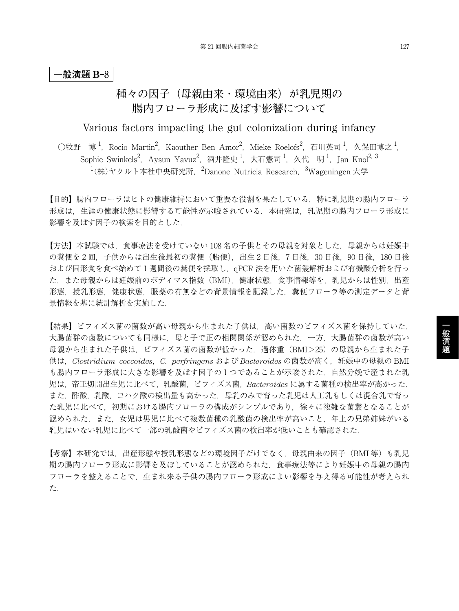# **種々の因子(母親由来 ・ 環境由来)が乳児期の 腸内フローラ形成に及ぼす影響について**

Various factors impacting the gut colonization during infancy

○牧野 博 <sup>1</sup>,Rocio Martin<sup>2</sup>,Kaouther Ben Amor<sup>2</sup>,Mieke Roelofs<sup>2</sup>,石川英司 <sup>1</sup>,久保田博之 <sup>1</sup>, Sophie Swinkels<sup>2</sup>,Aysun Yavuz<sup>2</sup>,酒井隆史 <sup>1</sup>,大石憲司 <sup>1</sup>,久代 明 <sup>1</sup>,Jan Knol<sup>2, 3</sup>  $1(k)$ ヤクルト本社中央研究所, <sup>2</sup>Danone Nutricia Research, <sup>3</sup>Wageningen 大学

【目的】腸内フローラはヒトの健康維持において重要な役割を果たしている.特に乳児期の腸内フローラ 形成は,生涯の健康状態に影響する可能性が示唆されている.本研究は,乳児期の腸内フローラ形成に 影響を及ぼす因子の検索を目的とした.

【方法】本試験では、食事療法を受けていない 108 名の子供とその母親を対象とした. 母親からは妊娠中 の糞便を 2回、子供からは出生後最初の糞便(胎便),出生 2 日後, 7 日後, 30 日後, 90 日後, 180 日後 および固形食を食べ始めて 1 週間後の糞便を採取し,qPCR 法を用いた菌叢解析および有機酸分析を行っ た.また母親からは妊娠前のボディマス指数(BMI),健康状態,食事情報等を,乳児からは性別,出産 形態,授乳形態,健康状態,服薬の有無などの背景情報を記録した.糞便フローラ等の測定データと背 景情報を基に統計解析を実施した.

【結果】ビフィズス菌の菌数が高い母親から生まれた子供は,高い菌数のビフィズス菌を保持していた. 大腸菌群の菌数についても同様に,母と子で正の相関関係が認められた.一方,大腸菌群の菌数が高い 母親から生まれた子供は,ビフィズス菌の菌数が低かった.過体重(BMI>25)の母親から生まれた子 供は,*Clostridium coccoides*,*C. perfringens* および *Bacteroides* の菌数が高く,妊娠中の母親の BMI も腸内フローラ形成に大きな影響を及ぼす因子の 1 つであることが示唆された.自然分娩で産まれた乳 児は,帝王切開出生児に比べて,乳酸菌,ビフィズス菌,*Bacteroides* に属する菌種の検出率が高かった. また,酢酸,乳酸,コハク酸の検出量も高かった.母乳のみで育った乳児は人工乳もしくは混合乳で育っ た乳児に比べて,初期における腸内フローラの構成がシンプルであり,徐々に複雑な菌叢となることが 認められた.また,女児は男児に比べて複数菌種の乳酸菌の検出率が高いこと,年上の兄弟姉妹がいる 乳児はいない乳児に比べて一部の乳酸菌やビフィズス菌の検出率が低いことも確認された.

【考察】本研究では、出産形態や授乳形態などの環境因子だけでなく、母親由来の因子(BMI 等)も乳児 期の腸内フローラ形成に影響を及ぼしていることが認められた.食事療法等により妊娠中の母親の腸内 フローラを整えることで,生まれ来る子供の腸内フローラ形成によい影響を与え得る可能性が考えられ た.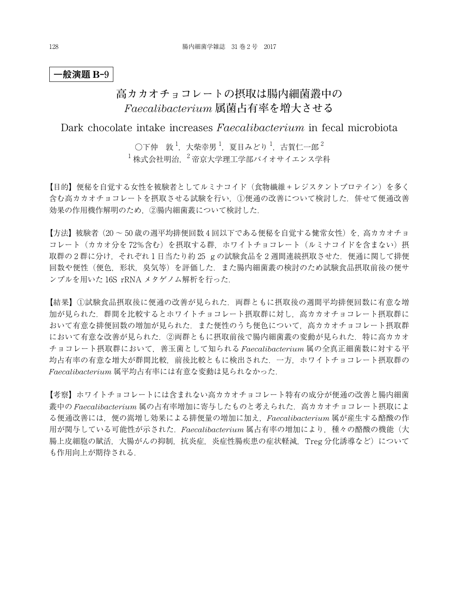# **高カカオチョコレートの摂取は腸内細菌叢中の** *Faecalibacterium* **属菌占有率を増大させる**

Dark chocolate intake increases *Faecalibacterium* in fecal microbiota

 $\bigcirc$ 下仲 敦 $^1$ ,大柴幸男 $^1$ ,夏目みどり $^1$ ,古賀仁一郎 $^2$  $^{-1}$ 株式会社明治  $^{-2}$  帝京大学理工学部バイオサイエンス学科

【目的】便秘を自覚する女性を被験者としてルミナコイド(食物繊維+レジスタントプロテイン)を多く 含む高カカオチョコレートを摂取させる試験を行い,①便通の改善について検討した.併せて便通改善 効果の作用機作解明のため,②腸内細菌叢について検討した.

【方法】被験者(20 ~ 50 歳の週平均排便回数 4 回以下である便秘を自覚する健常女性)を,高カカオチョ コレート(カカオ分を72%含む)を摂取する群,ホワイトチョコレート(ルミナコイドを含まない)摂 取群の2群に分け、それぞれ1日当たり約25 gの試験食品を2週間連続摂取させた. 便通に関して排便 回数や便性(便色,形状,臭気等)を評価した.また腸内細菌叢の検討のため試験食品摂取前後の便サ ンプルを用いた 16S rRNA メタゲノム解析を行った.

【結果】①試験食品摂取後に便通の改善が見られた.両群ともに摂取後の週間平均排便回数に有意な増 加が見られた.群間を比較するとホワイトチョコレート摂取群に対し,高カカオチョコレート摂取群に おいて有意な排便回数の増加が見られた.また便性のうち便色について,高カカオチョコレート摂取群 において有意な改善が見られた. ②両群ともに摂取前後で腸内細菌叢の変動が見られた. 特に高カカオ チョコレート摂取群において,善玉菌として知られる *Faecalibacterium* 属の全真正細菌数に対する平 均占有率の有意な増大が群間比較,前後比較ともに検出された.一方,ホワイトチョコレート摂取群の *Faecalibacterium* 属平均占有率には有意な変動は見られなかった.

【考察】ホワイトチョコレートには含まれない高カカオチョコレート特有の成分が便通の改善と腸内細菌 叢中の *Faecalibacterium* 属の占有率増加に寄与したものと考えられた.高カカオチョコレート摂取によ る便通改善には,便の嵩増し効果による排便量の増加に加え,*Faecalibacterium* 属が産生する酪酸の作 用が関与している可能性が示された.*Faecalibacterium* 属占有率の増加により,種々の酪酸の機能(大 腸上皮細胞の賦活,大腸がんの抑制,抗炎症,炎症性腸疾患の症状軽減, Treg 分化誘導など)について も作用向上が期待される.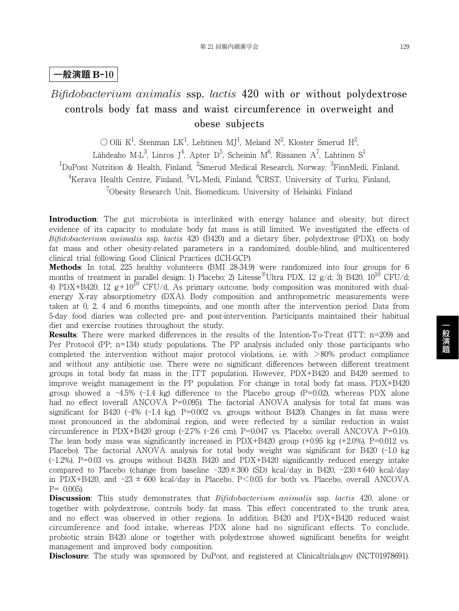# *Bifidobacterium animalis* **ssp.** *lactis* **420 with or without polydextrose controls body fat mass and waist circumference in overweight and obese subjects**

 $\bigcirc$  Olli K<sup>1</sup>, Stenman LK<sup>1</sup>, Lehtinen MJ<sup>1</sup>, Meland N<sup>2</sup>, Kloster Smerud H<sup>2</sup>,

Lähdeaho M-L $^3$ , Linros J $^4$ , Apter D $^5$ , Scheinin M $^6$ , Rissanen A $^7$ , Lahtinen S $^1$ 

<sup>1</sup>DuPont Nutrition & Health, Finland, <sup>2</sup>Smerud Medical Research, Norway, <sup>3</sup>FinnMedi, Finland,

 ${\rm ^4}$ Kerava Health Centre, Finland,  ${\rm ^5VL}\text{-}{\rm Medi}$ , Finland,  ${\rm ^6CRST}$ , University of Turku, Finland,

<sup>7</sup>Obesity Research Unit, Biomedicum, University of Helsinki, Finland

**Introduction**: The gut microbiota is interlinked with energy balance and obesity, but direct evidence of its capacity to modulate body fat mass is still limited. We investigated the effects of *Bifidobacterium animalis* ssp. *lactis* 420 (B420) and a dietary fiber, polydextrose (PDX), on body fat mass and other obesity-related parameters in a randomized, double-blind, and multicentered clinical trial following Good Clinical Practices (ICH-GCP).

**Methods**: In total, 225 healthy volunteers (BMI 28-34.9) were randomized into four groups for 6 months of treatment in parallel design: 1) Placebo; 2) Litesse<sup>®</sup>Ultra PDX, 12 g/d; 3) B420, 10<sup>10</sup> CFU/d; 4) PDX+B420, 12  $g+10^{10}$  CFU/d. As primary outcome, body composition was monitored with dualenergy X-ray absorptiometry (DXA). Body composition and anthropometric measurements were taken at 0, 2, 4 and 6 months timepoints, and one month after the intervention period. Data from 5-day food diaries was collected pre- and post-intervention. Participants maintained their habitual diet and exercise routines throughout the study.

**Results**: There were marked differences in the results of the Intention-To-Treat (ITT; n=209) and Per Protocol (PP; n=134) study populations. The PP analysis included only those participants who completed the intervention without major protocol violations, i.e. with  $>80\%$  product compliance and without any antibiotic use. There were no significant differences between different treatment groups in total body fat mass in the ITT population. However, PDX+B420 and B420 seemed to improve weight management in the PP population. For change in total body fat mass, PDX+B420 group showed a  $-4.5\%$  ( $-1.4$  kg) difference to the Placebo group ( $P=0.02$ ), whereas PDX alone had no effect (overall ANCOVA P=0.095). The factorial ANOVA analysis for total fat mass was significant for B420 ( $-4\%$  ( $-1.4$  kg), P=0.002 vs. groups without B420). Changes in fat mass were most pronounced in the abdominal region, and were reflected by a similar reduction in waist circumference in PDX+B420 group (-2.7% (-2.6 cm), P=0.047 vs. Placebo; overall ANCOVA P=0.10). The lean body mass was significantly increased in  $PDX+B420$  group (+0.95 kg (+2.0%),  $P=0.012$  vs. Placebo). The factorial ANOVA analysis for total body weight was significant for B420 (-1.0 kg (-1.2%), P=0.03 vs. groups without B420). B420 and PDX+B420 significantly reduced energy intake compared to Placebo (change from baseline  $-320 \pm 300$  (SD) kcal/day in B420,  $-230 \pm 640$  kcal/day in PDX+B420, and  $-23 \pm 600$  kcal/day in Placebo, P $\leq 0.05$  for both vs. Placebo, overall ANCOVA  $P= 0.005$ ).

**Discussion**: This study demonstrates that *Bifidobacterium animalis* ssp. *lactis* 420, alone or together with polydextrose, controls body fat mass. This effect concentrated to the trunk area, and no effect was observed in other regions. In addition, B420 and PDX+B420 reduced waist circumference and food intake, whereas PDX alone had no significant effects. To conclude, probiotic strain B420 alone or together with polydextrose showed significant benefits for weight management and improved body composition.

**Disclosure**: The study was sponsored by DuPont, and registered at Clinicaltrials.gov (NCT01978691).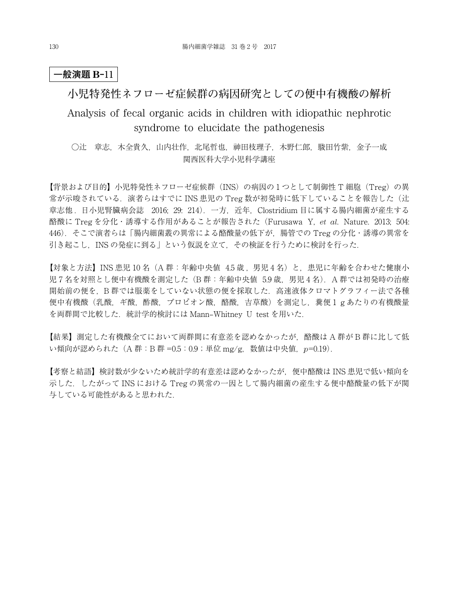## **小児特発性ネフローゼ症候群の病因研究としての便中有機酸の解析**

# Analysis of fecal organic acids in children with idiopathic nephrotic syndrome to elucidate the pathogenesis

○辻 章志,木全貴久,山内壮作,北尾哲也,神田枝理子,木野仁郎,駿田竹紫,金子一成 関西医科大学小児科学講座

【背景および目的】小児特発性ネフローゼ症候群(INS)の病因の 1 つとして制御性 T 細胞(Treg)の異 常が示唆されている. 演者らはすでに INS 患児の Treg 数が初発時に低下していることを報告した(辻 章志他 . 日小児腎臓病会誌 2016; 29: 214).一方,近年,Clostridium 目に属する腸内細菌が産生する 酪酸に Treg を分化・誘導する作用があることが報告された(Furusawa Y, *et al*. Nature. 2013; 504: 446).そこで演者らは「腸内細菌叢の異常による酪酸量の低下が,腸管での Treg の分化・誘導の異常を 引き起こし、INS の発症に到る」という仮説を立て、その検証を行うために検討を行った.

【対象と方法】INS 患児 10 名 (A 群:年齢中央値 45歳, 男児4名)と,患児に年齢を合わせた健康小 児 7 名を対照とし便中有機酸を測定した (B 群:年齢中央値 5.9 歳, 男児 4 名). A 群では初発時の治療 開始前の便を, B 群では服薬をしていない状態の便を採取した. 高速液体クロマトグラフィー法で各種 便中有機酸(乳酸,ギ酸,酢酸,プロピオン酸,酪酸,吉草酸)を測定し,糞便 1 g あたりの有機酸量 を両群間で比較した.統計学的検討には Mann–Whitney U test を用いた.

【結果】測定した有機酸全てにおいて両群間に有意差を認めなかったが,酪酸は A 群が B 群に比して低 い傾向が認められた(A 群:B 群 =0.5:0.9;単位 mg/g,数値は中央値,*p*=0.19).

【考察と結語】検討数が少ないため統計学的有意差は認めなかったが,便中酪酸は INS 患児で低い傾向を 示した.したがって INS における Treg の異常の一因として腸内細菌の産生する便中酪酸量の低下が関 与している可能性があると思われた.